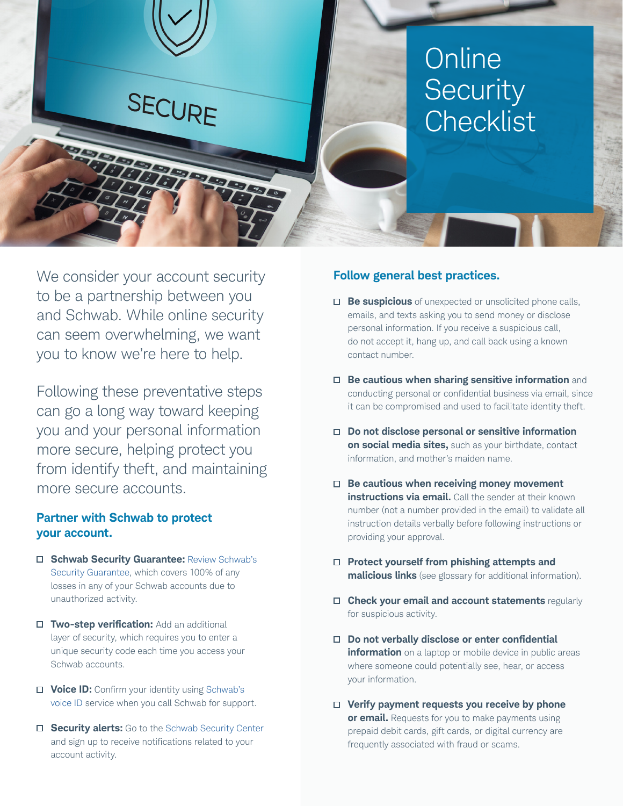

We consider your account security to be a partnership between you and Schwab. While online security can seem overwhelming, we want you to know we're here to help.

Following these preventative steps can go a long way toward keeping you and your personal information more secure, helping protect you from identify theft, and maintaining more secure accounts.

# **Partner with Schwab to protect your account.**

- **Schwab Security Guarantee:** [Review Schwab's](https://www.schwab.com/schwabsafe/security-guarantee) [Security Guarantee](https://www.schwab.com/schwabsafe/security-guarantee), which covers 100% of any losses in any of your Schwab accounts due to unauthorized activity.
- **Two-step verification:** Add an additional layer of security, which requires you to enter a unique security code each time you access your Schwab accounts.
- **Voice ID:** Confirm your identity using [Schwab's](https://www.schwab.com/public/schwab/nn/m/voice_biometric.htm)  [voice ID service](https://www.schwab.com/public/schwab/nn/m/voice_biometric.htm) when you call Schwab for support.
- **Security alerts:** Go to the [Schwab Security Center](https://client.schwab.com/clientapps/access/securityCenter#/main/epass) and sign up to receive notifications related to your account activity.

# **Follow general best practices.**

- **Be suspicious** of unexpected or unsolicited phone calls, emails, and texts asking you to send money or disclose personal information. If you receive a suspicious call, do not accept it, hang up, and call back using a known contact number.
- **Be cautious when sharing sensitive information** and conducting personal or confidential business via email, since it can be compromised and used to facilitate identity theft.
- **Do not disclose personal or sensitive information on social media sites,** such as your birthdate, contact information, and mother's maiden name.
- **Be cautious when receiving money movement instructions via email.** Call the sender at their known number (not a number provided in the email) to validate all instruction details verbally before following instructions or providing your approval.
- **Protect yourself from phishing attempts and malicious links** (see glossary for additional information).
- **Check your email and account statements** regularly for suspicious activity.
- **Do not verbally disclose or enter confidential information** on a laptop or mobile device in public areas where someone could potentially see, hear, or access your information.
- **Verify payment requests you receive by phone or email.** Requests for you to make payments using prepaid debit cards, gift cards, or digital currency are frequently associated with fraud or scams.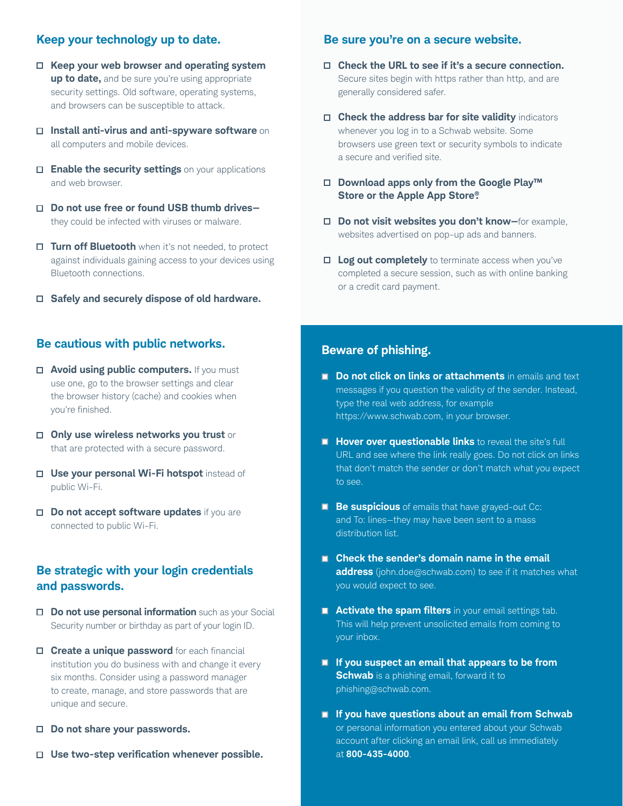# **Keep your technology up to date.**

- **Keep your web browser and operating system up to date,** and be sure you're using appropriate security settings. Old software, operating systems, and browsers can be susceptible to attack.
- **Install anti-virus and anti-spyware software** on all computers and mobile devices.
- **Enable the security settings** on your applications and web browser.
- **Do not use free or found USB thumb drives** they could be infected with viruses or malware.
- **Turn off Bluetooth** when it's not needed, to protect against individuals gaining access to your devices using Bluetooth connections.
- **Safely and securely dispose of old hardware.**

### **Be cautious with public networks.**

- $\Box$  **Avoid using public computers.** If you must use one, go to the browser settings and clear the browser history (cache) and cookies when you're finished.
- **Only use wireless networks you trust** or that are protected with a secure password.
- **Use your personal Wi-Fi hotspot** instead of public Wi-Fi.
- **Do not accept software updates** if you are connected to public Wi-Fi.

# **Be strategic with your login credentials and passwords.**

- **Do not use personal information** such as your Social Security number or birthday as part of your login ID.
- **Create a unique password** for each financial institution you do business with and change it every six months. Consider using a password manager to create, manage, and store passwords that are unique and secure.
- **Do not share your passwords.**
- **Use two-step verification whenever possible.**

# **Be sure you're on a secure website.**

- **Check the URL to see if it's a secure connection.** Secure sites begin with https rather than http, and are generally considered safer.
- **Check the address bar for site validity** indicators whenever you log in to a Schwab website. Some browsers use green text or security symbols to indicate a secure and verified site.
- **Download apps only from the Google Play™ Store or the Apple App Store®.**
- **Do not visit websites you don't know—**for example, websites advertised on pop-up ads and banners.
- **Log out completely** to terminate access when you've completed a secure session, such as with online banking or a credit card payment.

#### **Beware of phishing.**

- **Do not click on links or attachments** in emails and text messages if you question the validity of the sender. Instead, type the real web address, for example https://www.schwab.com, in your browser.
- **Hover over questionable links** to reveal the site's full URL and see where the link really goes. Do not click on links that don't match the sender or don't match what you expect to see.
- **Be suspicious** of emails that have grayed-out Cc: and To: lines—they may have been sent to a mass distribution list.
- Check the sender's domain name in the email **address** (john.doe@schwab.com) to see if it matches what you would expect to see.
- **Activate the spam filters** in your email settings tab. This will help prevent unsolicited emails from coming to your inbox.
- **If you suspect an email that appears to be from Schwab** is a phishing email, forward it to [phishing@schwab.com.](mailto:phishing@schwab.com)
- **If you have questions about an email from Schwab** or personal information you entered about your Schwab account after clicking an email link, call us immediately at **800-435-4000**.